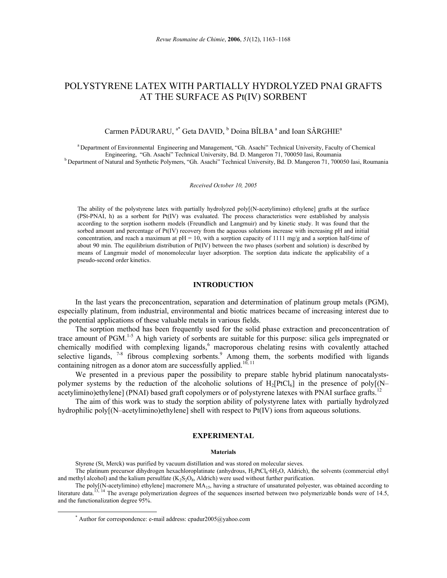# POLYSTYRENE LATEX WITH PARTIALLY HYDROLYZED PNAI GRAFTS AT THE SURFACE AS Pt(IV) SORBENT

## Carmen PĂDURARU, <sup>a\*</sup> Geta DAVID, <sup>b</sup> Doina BÎLBA<sup>a</sup> and Ioan SÂRGHIE<sup>a</sup>

a Department of Environmental Engineering and Management, "Gh. Asachi" Technical University, Faculty of Chemical Engineering, "Gh. Asachi" Technical University, Bd. D. Mangeron 71, 700050 Iasi, Roumania b Department of Natural and Synthetic Polymers, "Gh. Asachi" Technical University, Bd. D. Mangeron 71, 700050 Iasi, Roumania

#### *Received October 10, 2005*

The ability of the polystyrene latex with partially hydrolyzed poly[(N-acetylimino) ethylene] grafts at the surface (PSt-PNAI, h) as a sorbent for Pt(IV) was evaluated. The process characteristics were established by analysis according to the sorption isotherm models (Freundlich and Langmuir) and by kinetic study. It was found that the sorbed amount and percentage of  $Pt(V)$  recovery from the aqueous solutions increase with increasing  $pH$  and initial concentration, and reach a maximum at  $pH = 10$ , with a sorption capacity of 1111 mg/g and a sorption half-time of about 90 min. The equilibrium distribution of Pt(IV) between the two phases (sorbent and solution) is described by means of Langmuir model of monomolecular layer adsorption. The sorption data indicate the applicability of a pseudo-second order kinetics.

#### **INTRODUCTION**

In the last years the preconcentration, separation and determination of platinum group metals (PGM), especially platinum, from industrial, environmental and biotic matrices became of increasing interest due to the potential applications of these valuable metals in various fields.

The sorption method has been frequently used for the solid phase extraction and preconcentration of trace amount of PGM.<sup>1-5</sup> A high variety of sorbents are suitable for this purpose: silica gels impregnated or chemically modified with complexing ligands,<sup>6</sup> macroporous chelating resins with covalently attached selective ligands,  $7-8$  fibrous complexing sorbents.<sup>9</sup> Among them, the sorbents modified with ligands containing nitrogen as a donor atom are successfully applied.<sup>10, 11</sup>

We presented in a previous paper the possibility to prepare stable hybrid platinum nanocatalystspolymer systems by the reduction of the alcoholic solutions of  $H_2[PtCl_6]$  in the presence of poly $(N$ acetylimino)ethylene] (PNAI) based graft copolymers or of polystyrene latexes with PNAI surface grafts.<sup>12</sup>

The aim of this work was to study the sorption ability of polystyrene latex with partially hydrolyzed hydrophilic poly[(N–acetylimino)ethylene] shell with respect to Pt(IV) ions from aqueous solutions.

#### **EXPERIMENTAL**

#### **Materials**

Styrene (St, Merck) was purified by vacuum distillation and was stored on molecular sieves.

The platinum precursor dihydrogen hexachloroplatinate (anhydrous, H<sub>2</sub>PtCl<sub>6</sub>·6H<sub>2</sub>O, Aldrich), the solvents (commercial ethyl and methyl alcohol) and the kalium persulfate  $(K_2S_2O_8)$ , Aldrich) were used without further purification.

The poly $[(N-acetylimino)$  ethylene] macromere  $MA<sub>15</sub>$ , having a structure of unsaturated polyester, was obtained according to literature data.<sup>13, 14</sup> The average polymerization degrees of the sequences inserted between two polymerizable bonds were of 14.5, and the functionalization degree 95%.

 <sup>\*</sup> Author for correspondence: e-mail address: cpadur $2005\omega$ yahoo.com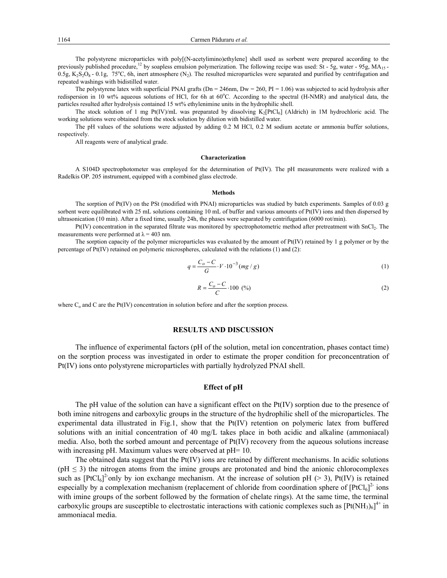The polystyrene microparticles with poly[(N-acetylimino)ethylene] shell used as sorbent were prepared according to the previously published procedure,<sup>12</sup> by soapless emulsion polymerization. The following recipe was used: St - 5g, water - 95g, MA<sub>15</sub> - $0.5g$ , K<sub>2</sub>S<sub>2</sub>O<sub>8</sub> - 0.1g, 75<sup>o</sup>C, 6h, inert atmosphere (N<sub>2</sub>). The resulted microparticles were separated and purified by centrifugation and repeated washings with bidistilled water.

The polystyrene latex with superficial PNAI grafts ( $Dn = 246$ nm,  $Dw = 260$ ,  $PI = 1.06$ ) was subjected to acid hydrolysis after redispersion in 10 wt% aqueous solutions of HCl, for 6h at 60°C. According to the spectral (H-NMR) and analytical data, the particles resulted after hydrolysis contained 15 wt% ethylenimine units in the hydrophilic shell.

The stock solution of 1 mg Pt(IV)/mL was preparated by dissolving  $K_2[PLC]_6$  (Aldrich) in 1M hydrochloric acid. The working solutions were obtained from the stock solution by dilution with bidistilled water.

The pH values of the solutions were adjusted by adding 0.2 M HCl, 0.2 M sodium acetate or ammonia buffer solutions, respectively.

All reagents were of analytical grade.

#### **Characterization**

A S104D spectrophotometer was employed for the determination of Pt(IV). The pH measurements were realized with a Radelkis OP. 205 instrument, equipped with a combined glass electrode.

#### **Methods**

The sorption of Pt(IV) on the PSt (modified with PNAI) microparticles was studied by batch experiments. Samples of  $0.03 \text{ g}$ sorbent were equilibrated with 25 mL solutions containing 10 mL of buffer and various amounts of Pt(IV) ions and then dispersed by ultrasonication (10 min). After a fixed time, usually 24h, the phases were separated by centrifugation (6000 rot/min).

Pt(IV) concentration in the separated filtrate was monitored by spectrophotometric method after pretreatment with SnCl2. The measurements were performed at  $\lambda = 403$  nm.

The sorption capacity of the polymer microparticles was evaluated by the amount of Pt(IV) retained by 1 g polymer or by the percentage of Pt(IV) retained on polymeric microspheres, calculated with the relations (1) and (2):

$$
q = \frac{C_o - C}{G} \cdot V \cdot 10^{-3} (mg / g)
$$
 (1)

$$
R = \frac{C_o - C}{C} \cdot 100 \text{ } (\%) \tag{2}
$$

where  $C_0$  and C are the Pt(IV) concentration in solution before and after the sorption process.

#### **RESULTS AND DISCUSSION**

The influence of experimental factors (pH of the solution, metal ion concentration, phases contact time) on the sorption process was investigated in order to estimate the proper condition for preconcentration of Pt(IV) ions onto polystyrene microparticles with partially hydrolyzed PNAI shell.

#### **Effect of pH**

The pH value of the solution can have a significant effect on the Pt(IV) sorption due to the presence of both imine nitrogens and carboxylic groups in the structure of the hydrophilic shell of the microparticles. The experimental data illustrated in Fig.1, show that the Pt(IV) retention on polymeric latex from buffered solutions with an initial concentration of 40 mg/L takes place in both acidic and alkaline (ammoniacal) media. Also, both the sorbed amount and percentage of Pt(IV) recovery from the aqueous solutions increase with increasing pH. Maximum values were observed at pH= 10.

The obtained data suggest that the  $Pt(IV)$  ions are retained by different mechanisms. In acidic solutions  $(pH \leq 3)$  the nitrogen atoms from the imine groups are protonated and bind the anionic chlorocomplexes such as  $[PtCl_6]^2$  only by ion exchange mechanism. At the increase of solution pH (> 3), Pt(IV) is retained especially by a complexation mechanism (replacement of chloride from coordination sphere of  $[PtCl_6]^2$  ions with imine groups of the sorbent followed by the formation of chelate rings). At the same time, the terminal carboxylic groups are susceptible to electrostatic interactions with cationic complexes such as  $[Pt(NH<sub>3</sub>)<sub>6</sub>]<sup>4+</sup>$  in ammoniacal media.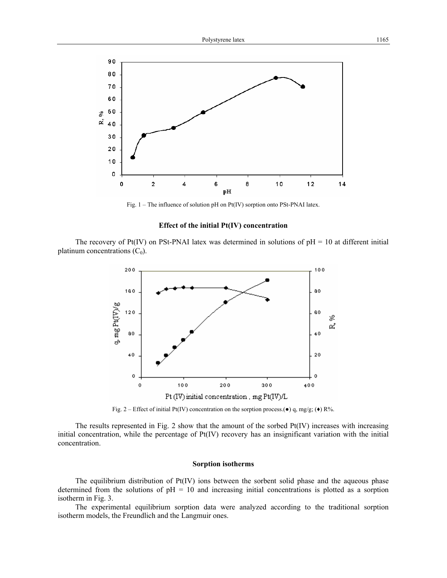

Fig. 1 – The influence of solution pH on Pt(IV) sorption onto PSt-PNAI latex.

## **Effect of the initial Pt(IV) concentration**

The recovery of  $Pt(IV)$  on PSt-PNAI latex was determined in solutions of  $pH = 10$  at different initial platinum concentrations  $(C_0)$ .



Fig. 2 – Effect of initial Pt(IV) concentration on the sorption process.( $\bullet$ ) q, mg/g; ( $\bullet$ ) R%.

The results represented in Fig. 2 show that the amount of the sorbed  $Pt(IV)$  increases with increasing initial concentration, while the percentage of Pt(IV) recovery has an insignificant variation with the initial concentration.

#### **Sorption isotherms**

The equilibrium distribution of Pt(IV) ions between the sorbent solid phase and the aqueous phase determined from the solutions of  $pH = 10$  and increasing initial concentrations is plotted as a sorption isotherm in Fig. 3.

The experimental equilibrium sorption data were analyzed according to the traditional sorption isotherm models, the Freundlich and the Langmuir ones.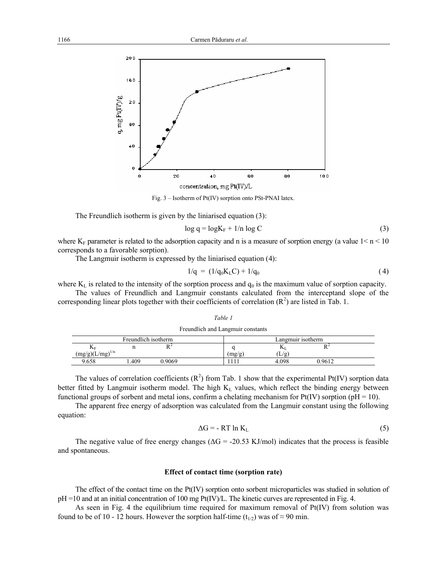

Fig. 3 – Isotherm of Pt(IV) sorption onto PSt-PNAI latex.

The Freundlich isotherm is given by the liniarised equation (3):

$$
\log q = \log K_{\rm F} + 1/n \log C \tag{3}
$$

where  $K_F$  parameter is related to the adsorption capacity and n is a measure of sorption energy (a value  $1 < n < 10$ ) corresponds to a favorable sorption).

The Langmuir isotherm is expressed by the liniarised equation (4):

$$
1/q = (1/q_0 K_L C) + 1/q_0 \tag{4}
$$

where  $K_L$  is related to the intensity of the sorption process and  $q_0$  is the maximum value of sorption capacity.

The values of Freundlich and Langmuir constants calculated from the interceptand slope of the corresponding linear plots together with their coefficients of correlation  $(R^2)$  are listed in Tab. 1.

*Table 1*

| Freundlich and Langmuir constants         |      |       |  |                   |       |      |  |
|-------------------------------------------|------|-------|--|-------------------|-------|------|--|
| Freundlich isotherm                       |      |       |  | Langmuir isotherm |       |      |  |
| NF                                        |      |       |  |                   | IУI   |      |  |
| $\left(\frac{mg/g}{g}\right)(L/mg)^{1/n}$ |      |       |  | mg/g              | (L/g) |      |  |
| 9.658                                     | .409 | .9069 |  |                   | 4.098 | 9612 |  |

The values of correlation coefficients  $(R^2)$  from Tab. 1 show that the experimental Pt(IV) sorption data better fitted by Langmuir isotherm model. The high  $K<sub>L</sub>$  values, which reflect the binding energy between functional groups of sorbent and metal ions, confirm a chelating mechanism for  $Pt(IV)$  sorption (pH = 10).

The apparent free energy of adsorption was calculated from the Langmuir constant using the following equation:

$$
\Delta G = - RT \ln K_{L} \tag{5}
$$

The negative value of free energy changes ( $\Delta G = -20.53$  KJ/mol) indicates that the process is feasible and spontaneous.

#### **Effect of contact time (sorption rate)**

The effect of the contact time on the Pt(IV) sorption onto sorbent microparticles was studied in solution of  $pH = 10$  and at an initial concentration of 100 mg Pt(IV)/L. The kinetic curves are represented in Fig. 4.

As seen in Fig. 4 the equilibrium time required for maximum removal of Pt(IV) from solution was found to be of 10 - 12 hours. However the sorption half-time ( $t_{1/2}$ ) was of ≈ 90 min.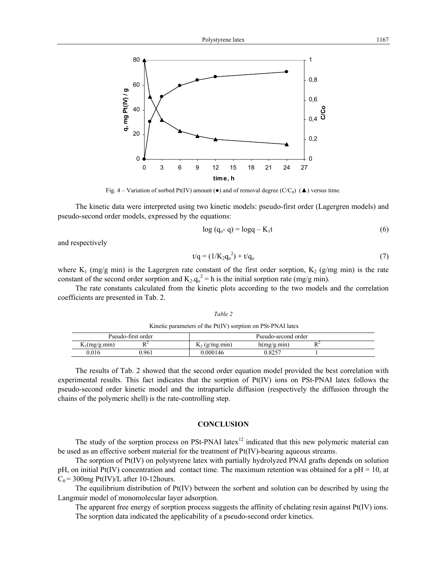Fig. 4 – Variation of sorbed Pt(IV) amount ( $\bullet$ ) and of removal degree (C/C<sub>0</sub>) ( $\blacktriangle$ ) versus time.

The kinetic data were interpreted using two kinetic models: pseudo-first order (Lagergren models) and pseudo-second order models, expressed by the equations:

$$
\log (q_o - q) = \log q - K_1 t \tag{6}
$$

and respectively

$$
t/q = (1/K_2q_o^2) + t/q_o \tag{7}
$$

where  $K_1$  (mg/g min) is the Lagergren rate constant of the first order sorption,  $K_2$  (g/mg min) is the rate constant of the second order sorption and  $K_2 \cdot q_0^2 = h$  is the initial sorption rate (mg/g min).

The rate constants calculated from the kinetic plots according to the two models and the correlation coefficients are presented in Tab. 2.

*Table 2* 

 Kinetic parameters of the Pt(IV) sorption on PSt-PNAI latex Pseudo-first order **Pseudo-second order**  $K_1(mg/g.min)$   $R^2$  $K_2$  (g/mg.min) h(mg/g.min)  $R^2$ 0.016 0.961 0.000146 0.8257 1

The results of Tab. 2 showed that the second order equation model provided the best correlation with experimental results. This fact indicates that the sorption of Pt(IV) ions on PSt-PNAI latex follows the pseudo-second order kinetic model and the intraparticle diffusion (respectively the diffusion through the chains of the polymeric shell) is the rate-controlling step.

### **CONCLUSION**

The study of the sorption process on PSt-PNAI latex<sup>12</sup> indicated that this new polymeric material can be used as an effective sorbent material for the treatment of Pt(IV)-bearing aqueous streams.

The sorption of Pt(IV) on polystyrene latex with partially hydrolyzed PNAI grafts depends on solution pH, on initial Pt(IV) concentration and contact time. The maximum retention was obtained for a pH = 10, at  $C_0$  = 300mg Pt(IV)/L after 10-12hours.

The equilibrium distribution of  $Pt(IV)$  between the sorbent and solution can be described by using the Langmuir model of monomolecular layer adsorption.

The apparent free energy of sorption process suggests the affinity of chelating resin against  $Pt(IV)$  ions. The sorption data indicated the applicability of a pseudo-second order kinetics.